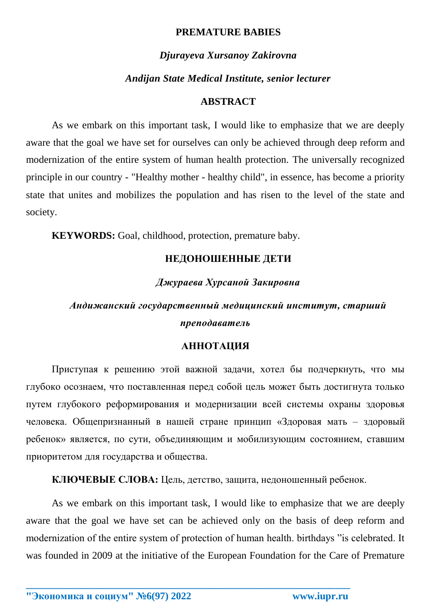## **PREMATURE BABIES**

## *Djurayeva Xursanoy Zakirovna*

#### *Andijan State Medical Institute, senior lecturer*

### **ABSTRACT**

As we embark on this important task, I would like to emphasize that we are deeply aware that the goal we have set for ourselves can only be achieved through deep reform and modernization of the entire system of human health protection. The universally recognized principle in our country - "Healthy mother - healthy child", in essence, has become a priority state that unites and mobilizes the population and has risen to the level of the state and society.

**KEYWORDS:** Goal, childhood, protection, premature baby.

# **НЕДОНОШЕННЫЕ ДЕТИ**

# *Джураева Хурсаной Закировна*

# *Андижанский государственный медицинский институт, старший преподаватель*

### **АННОТАЦИЯ**

Приступая к решению этой важной задачи, хотел бы подчеркнуть, что мы глубоко осознаем, что поставленная перед собой цель может быть достигнута только путем глубокого реформирования и модернизации всей системы охраны здоровья человека. Общепризнанный в нашей стране принцип «Здоровая мать – здоровый ребенок» является, по сути, объединяющим и мобилизующим состоянием, ставшим приоритетом для государства и общества.

**КЛЮЧЕВЫЕ СЛОВА:** Цель, детство, защита, недоношенный ребенок.

As we embark on this important task, I would like to emphasize that we are deeply aware that the goal we have set can be achieved only on the basis of deep reform and modernization of the entire system of protection of human health. birthdays "is celebrated. It was founded in 2009 at the initiative of the European Foundation for the Care of Premature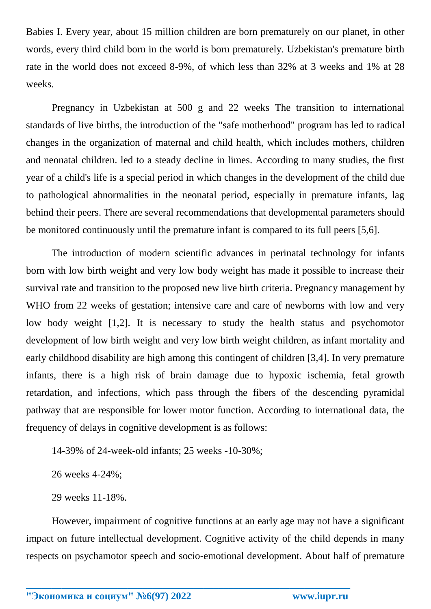Babies I. Every year, about 15 million children are born prematurely on our planet, in other words, every third child born in the world is born prematurely. Uzbekistan's premature birth rate in the world does not exceed 8-9%, of which less than 32% at 3 weeks and 1% at 28 weeks.

Pregnancy in Uzbekistan at 500 g and 22 weeks The transition to international standards of live births, the introduction of the "safe motherhood" program has led to radical changes in the organization of maternal and child health, which includes mothers, children and neonatal children. led to a steady decline in limes. According to many studies, the first year of a child's life is a special period in which changes in the development of the child due to pathological abnormalities in the neonatal period, especially in premature infants, lag behind their peers. There are several recommendations that developmental parameters should be monitored continuously until the premature infant is compared to its full peers [5,6].

The introduction of modern scientific advances in perinatal technology for infants born with low birth weight and very low body weight has made it possible to increase their survival rate and transition to the proposed new live birth criteria. Pregnancy management by WHO from 22 weeks of gestation; intensive care and care of newborns with low and very low body weight [1,2]. It is necessary to study the health status and psychomotor development of low birth weight and very low birth weight children, as infant mortality and early childhood disability are high among this contingent of children [3,4]. In very premature infants, there is a high risk of brain damage due to hypoxic ischemia, fetal growth retardation, and infections, which pass through the fibers of the descending pyramidal pathway that are responsible for lower motor function. According to international data, the frequency of delays in cognitive development is as follows:

14-39% of 24-week-old infants; 25 weeks -10-30%;

26 weeks 4-24%;

29 weeks 11-18%.

However, impairment of cognitive functions at an early age may not have a significant impact on future intellectual development. Cognitive activity of the child depends in many respects on psychamotor speech and socio-emotional development. About half of premature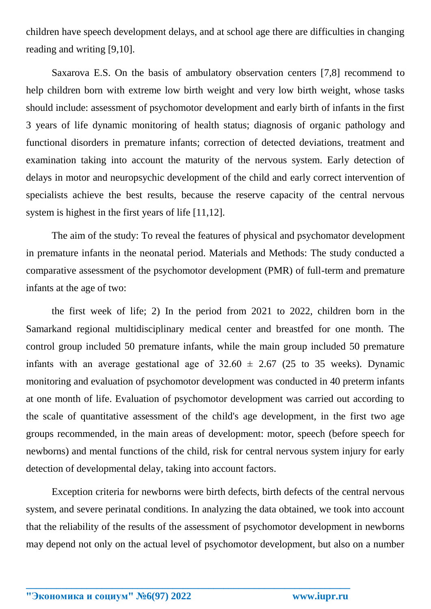children have speech development delays, and at school age there are difficulties in changing reading and writing [9,10].

Saxarova E.S. On the basis of ambulatory observation centers [7,8] recommend to help children born with extreme low birth weight and very low birth weight, whose tasks should include: assessment of psychomotor development and early birth of infants in the first 3 years of life dynamic monitoring of health status; diagnosis of organic pathology and functional disorders in premature infants; correction of detected deviations, treatment and examination taking into account the maturity of the nervous system. Early detection of delays in motor and neuropsychic development of the child and early correct intervention of specialists achieve the best results, because the reserve capacity of the central nervous system is highest in the first years of life [11,12].

The aim of the study: To reveal the features of physical and psychomator development in premature infants in the neonatal period. Materials and Methods: The study conducted a comparative assessment of the psychomotor development (PMR) of full-term and premature infants at the age of two:

the first week of life; 2) In the period from 2021 to 2022, children born in the Samarkand regional multidisciplinary medical center and breastfed for one month. The control group included 50 premature infants, while the main group included 50 premature infants with an average gestational age of  $32.60 \pm 2.67$  (25 to 35 weeks). Dynamic monitoring and evaluation of psychomotor development was conducted in 40 preterm infants at one month of life. Evaluation of psychomotor development was carried out according to the scale of quantitative assessment of the child's age development, in the first two age groups recommended, in the main areas of development: motor, speech (before speech for newborns) and mental functions of the child, risk for central nervous system injury for early detection of developmental delay, taking into account factors.

Exception criteria for newborns were birth defects, birth defects of the central nervous system, and severe perinatal conditions. In analyzing the data obtained, we took into account that the reliability of the results of the assessment of psychomotor development in newborns may depend not only on the actual level of psychomotor development, but also on a number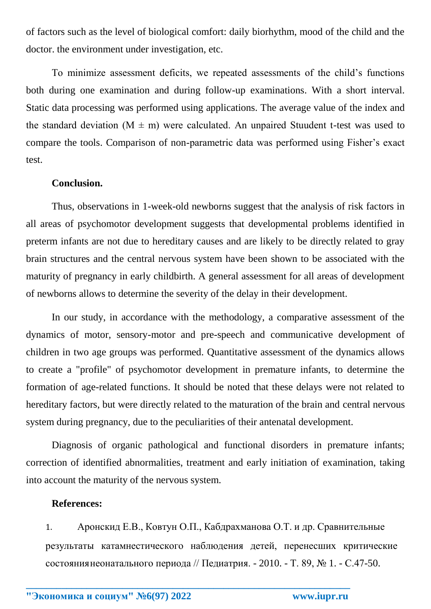of factors such as the level of biological comfort: daily biorhythm, mood of the child and the doctor. the environment under investigation, etc.

To minimize assessment deficits, we repeated assessments of the child's functions both during one examination and during follow-up examinations. With a short interval. Static data processing was performed using applications. The average value of the index and the standard deviation ( $M \pm m$ ) were calculated. An unpaired Stuudent t-test was used to compare the tools. Comparison of non-parametric data was performed using Fisher's exact test.

## **Conclusion.**

Thus, observations in 1-week-old newborns suggest that the analysis of risk factors in all areas of psychomotor development suggests that developmental problems identified in preterm infants are not due to hereditary causes and are likely to be directly related to gray brain structures and the central nervous system have been shown to be associated with the maturity of pregnancy in early childbirth. A general assessment for all areas of development of newborns allows to determine the severity of the delay in their development.

In our study, in accordance with the methodology, a comparative assessment of the dynamics of motor, sensory-motor and pre-speech and communicative development of children in two age groups was performed. Quantitative assessment of the dynamics allows to create a "profile" of psychomotor development in premature infants, to determine the formation of age-related functions. It should be noted that these delays were not related to hereditary factors, but were directly related to the maturation of the brain and central nervous system during pregnancy, due to the peculiarities of their antenatal development.

Diagnosis of organic pathological and functional disorders in premature infants; correction of identified abnormalities, treatment and early initiation of examination, taking into account the maturity of the nervous system.

#### **References:**

1. Аронскид Е.В., Ковтун О.П., Кабдрахманова О.Т. и др. Сравнительные результаты катамнестического наблюдения детей, перенесших критические состояниянеонатального периода // Педиатрия. - 2010. - Т. 89, № 1. - С.47-50.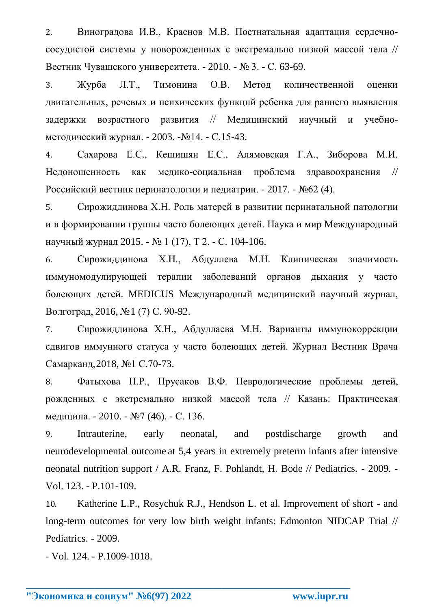2. Виноградова И.В., Краснов М.В. Постнатальная адаптация сердечнососудистой системы у новорожденных с экстремально низкой массой тела // Вестник Чувашского университета. - 2010. - № 3. - С. 63-69.

3. Журба Л.Т., Тимонина О.В. Метод количественной оценки двигательных, речевых и психических функций ребенка для раннего выявления задержки возрастного развития // Медицинский научный и учебнометодический журнал. - 2003. -№14. - С.15-43.

4. Сахарова Е.С., Кешишян Е.С., Алямовская Г.А., Зиборова М.И. Недоношенность как медико-социальная проблема здравоохранения // Российский вестник перинатологии и педиатрии. - 2017. - №62 (4).

5. Сирожиддинова Х.Н. Роль матерей в развитии перинатальной патологии и в формировании группы часто болеющих детей. Наука и мир Международный научный журнал 2015. - № 1 (17), Т 2. - С. 104-106.

6. Сирожиддинова Х.Н., Абдуллева М.Н. Клиническая значимость иммуномодулирующей терапии заболеваний органов дыхания у часто болеющих детей. MEDICUS Международный медицинский научный журнал, Волгоград, 2016, №1 (7) С. 90-92.

7. Сирожиддинова Х.Н., Абдуллаева М.Н. Варианты иммунокоррекции сдвигов иммунного статуса у часто болеющих детей. Журнал Вестник Врача Самарканд,2018, №1 С.70-73.

8. Фатыхова Н.Р., Прусаков В.Ф. Неврологические проблемы детей, рожденных с экстремально низкой массой тела // Казань: Практическая медицина. - 2010. - №7 (46). - С. 136.

9. Intrauterine, early neonatal, and postdischarge growth and neurodevelopmental outcome at 5,4 years in extremely preterm infants after intensive neonatal nutrition support / A.R. Franz, F. Pohlandt, H. Bode // Pediatrics. - 2009. - Vol. 123. - P.101-109.

10. Katherine L.P., Rosychuk R.J., Hendson L. et al. Improvement of short - and long-term outcomes for very low birth weight infants: Edmonton NIDCAP Trial // Pediatrics. - 2009.

**\_\_\_\_\_\_\_\_\_\_\_\_\_\_\_\_\_\_\_\_\_\_\_\_\_\_\_\_\_\_\_\_\_\_\_\_\_\_\_\_\_\_\_\_\_\_\_\_\_\_\_\_\_\_\_\_\_\_\_\_\_\_\_\_**

- Vol. 124. - P.1009-1018.